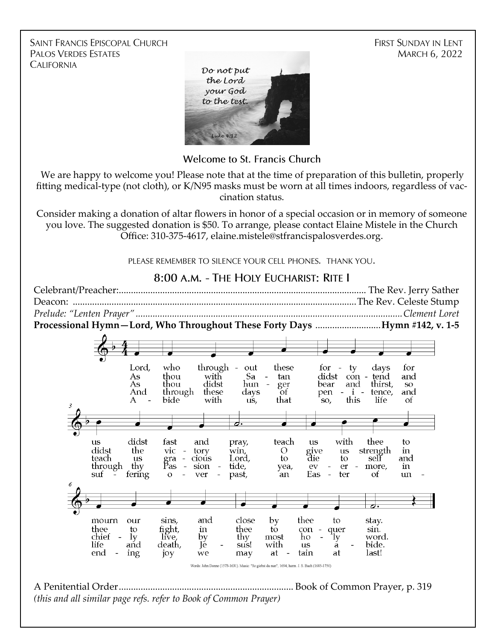**SAINT FRANCIS EPISCOPAL CHURCH PALOS VERDES ESTATES CALIFORNIA** 

**FIRST SUNDAY IN LENT MARCH 6, 2022** 



**Welcome to St. Francis Church** 

We are happy to welcome you! Please note that at the time of preparation of this bulletin, properly fitting medical-type (not cloth), or K/N95 masks must be worn at all times indoors, regardless of vaccination status.

Consider making a donation of altar flowers in honor of a special occasion or in memory of someone you love. The suggested donation is \$50. To arrange, please contact Elaine Mistele in the Church Office: 310-375-4617, elaine.mistele@stfrancispalosverdes.org.

PLEASE REMEMBER TO SILENCE YOUR CELL PHONES. THANK YOU.

8:00 A.M. - THE HOLY EUCHARIST: RITE I

Celebrant/Preacher:...................................................................................................... The Rev. Jerry Sather Deacon: .....................................................................................................................The Rev. Celeste Stump *Prelude: "Lenten Prayer" ..............................................................................................................Clement Loret* **Processional Hymn—Lord, Who Throughout These Forty Days** ...........................**Hymn #142, v. 1-5** Lord. who through these out for  $-$  ty days for thou with As Satan didst con - tend and As thou didst hun ger bear and thirst. SO<sub>1</sub> through And these days of pen  $\mathbf{i}$  tence, and A bide with that this life us, SO, Οf d. didst fast and pray, teach with thee us  $\mathbf{u}\mathbf{s}$ to give didst the vic tory win.  $\Omega$  $\mathbf{u}\mathbf{s}$ strength  $\mathbf{m}$  $\sim$ gra<br>Pas cious  $\mathsf{to}$ teach us  $\equiv$ Lord, die to self and through thy  $\sim$ sion tide, yea,  $_{\rm ev}$ er more, m fering suf  $\Omega$ ver past, 'an Eas  $\sim$ ter of  $un$ mourn our sins, and close by thee to stay. thee to fight, in thee to con quer sin. chief most word.  $1v$ līve, by thy ho ly life. aňd death, Té. sus! with **11S** ă bide. end ing joy we may at tain at last! Words: John Donne (1573-1631). Music: "So giebst du nun", 1694; harm. J. S. Bach (1685-1750) A Penitential Order........................................................................ Book of Common Prayer, p. 319 *(this and all similar page refs. refer to Book of Common Prayer)*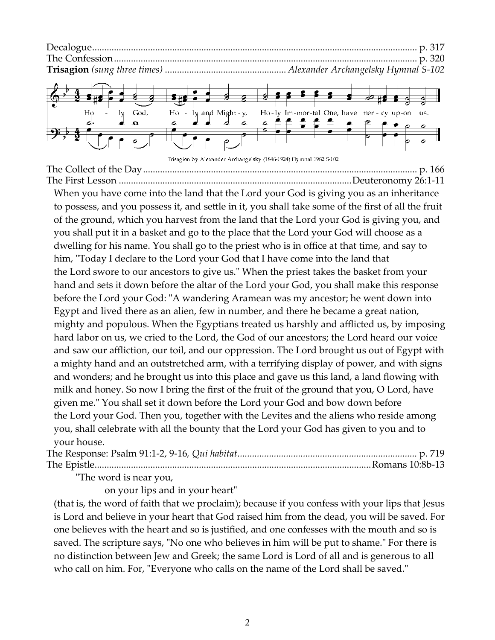

Trisagion by Alexander Archangelsky (1846-1924) Hymnal 1982 S-102

The Collect of the Day................................................................................................................. p. 166 The First Lesson ................................................................................................Deuteronomy 26:1-11

When you have come into the land that the Lord your God is giving you as an inheritance to possess, and you possess it, and settle in it, you shall take some of the first of all the fruit of the ground, which you harvest from the land that the Lord your God is giving you, and you shall put it in a basket and go to the place that the Lord your God will choose as a dwelling for his name. You shall go to the priest who is in office at that time, and say to him, "Today I declare to the Lord your God that I have come into the land that the Lord swore to our ancestors to give us." When the priest takes the basket from your hand and sets it down before the altar of the Lord your God, you shall make this response before the Lord your God: "A wandering Aramean was my ancestor; he went down into Egypt and lived there as an alien, few in number, and there he became a great nation, mighty and populous. When the Egyptians treated us harshly and afflicted us, by imposing hard labor on us, we cried to the Lord, the God of our ancestors; the Lord heard our voice and saw our affliction, our toil, and our oppression. The Lord brought us out of Egypt with a mighty hand and an outstretched arm, with a terrifying display of power, and with signs and wonders; and he brought us into this place and gave us this land, a land flowing with milk and honey. So now I bring the first of the fruit of the ground that you, O Lord, have given me." You shall set it down before the Lord your God and bow down before the Lord your God. Then you, together with the Levites and the aliens who reside among you, shall celebrate with all the bounty that the Lord your God has given to you and to your house.

| $\mathbf{H}$ |  |
|--------------|--|

The word is near you,

on your lips and in your heart"

(that is, the word of faith that we proclaim); because if you confess with your lips that Jesus is Lord and believe in your heart that God raised him from the dead, you will be saved. For one believes with the heart and so is justified, and one confesses with the mouth and so is saved. The scripture says, "No one who believes in him will be put to shame." For there is no distinction between Jew and Greek; the same Lord is Lord of all and is generous to all who call on him. For, "Everyone who calls on the name of the Lord shall be saved."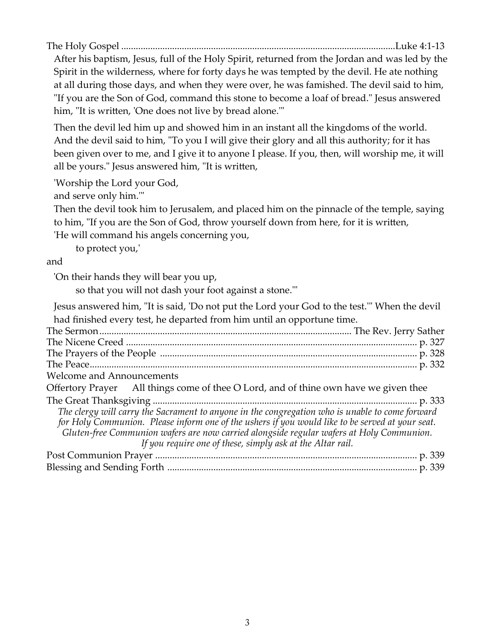The Holy Gospel .................................................................................................................Luke 4:1-13

After his baptism, Jesus, full of the Holy Spirit, returned from the Jordan and was led by the Spirit in the wilderness, where for forty days he was tempted by the devil. He ate nothing at all during those days, and when they were over, he was famished. The devil said to him, "If you are the Son of God, command this stone to become a loaf of bread." Jesus answered him, "It is written, 'One does not live by bread alone."

Then the devil led him up and showed him in an instant all the kingdoms of the world. And the devil said to him, "To you I will give their glory and all this authority; for it has been given over to me, and I give it to anyone I please. If you, then, will worship me, it will all be yours." Jesus answered him, "It is written,

'Worship the Lord your God,

and serve only him.'"

Then the devil took him to Jerusalem, and placed him on the pinnacle of the temple, saying to him, "If you are the Son of God, throw yourself down from here, for it is written,

'He will command his angels concerning you,

to protect you,'

## and

'On their hands they will bear you up,

so that you will not dash your foot against a stone.'"

Jesus answered him, "It is said, 'Do not put the Lord your God to the test.'" When the devil had finished every test, he departed from him until an opportune time. The Sermon........................................................................................................ The Rev. Jerry Sather The Nicene Creed ........................................................................................................................ p. 327 The Prayers of the People .......................................................................................................... p. 328 The Peace....................................................................................................................................... p. 332 Welcome and Announcements Offertory Prayer All things come of thee O Lord, and of thine own have we given thee The Great Thanksgiving ............................................................................................................. p. 333 *The clergy will carry the Sacrament to anyone in the congregation who is unable to come forward for Holy Communion. Please inform one of the ushers if you would like to be served at your seat. Gluten-free Communion wafers are now carried alongside regular wafers at Holy Communion. If you require one of these, simply ask at the Altar rail.* Post Communion Prayer ............................................................................................................ p. 339 Blessing and Sending Forth ....................................................................................................... p. 339